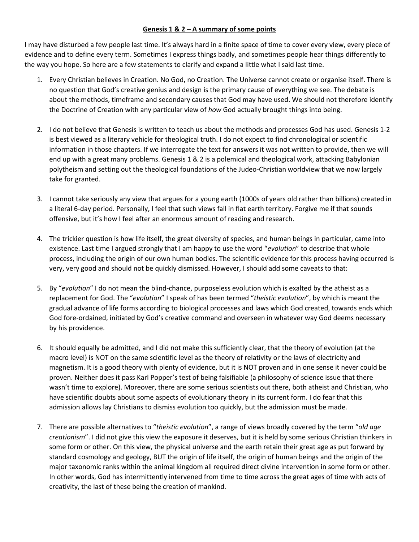## **Genesis 1 & 2 – A summary of some points**

I may have disturbed a few people last time. It's always hard in a finite space of time to cover every view, every piece of evidence and to define every term. Sometimes I express things badly, and sometimes people hear things differently to the way you hope. So here are a few statements to clarify and expand a little what I said last time.

- 1. Every Christian believes in Creation. No God, no Creation. The Universe cannot create or organise itself. There is no question that God's creative genius and design is the primary cause of everything we see. The debate is about the methods, timeframe and secondary causes that God may have used. We should not therefore identify the Doctrine of Creation with any particular view of *how* God actually brought things into being.
- 2. I do not believe that Genesis is written to teach us about the methods and processes God has used. Genesis 1-2 is best viewed as a literary vehicle for theological truth. I do not expect to find chronological or scientific information in those chapters. If we interrogate the text for answers it was not written to provide, then we will end up with a great many problems. Genesis 1 & 2 is a polemical and theological work, attacking Babylonian polytheism and setting out the theological foundations of the Judeo-Christian worldview that we now largely take for granted.
- 3. I cannot take seriously any view that argues for a young earth (1000s of years old rather than billions) created in a literal 6-day period. Personally, I feel that such views fall in flat earth territory. Forgive me if that sounds offensive, but it's how I feel after an enormous amount of reading and research.
- 4. The trickier question is how life itself, the great diversity of species, and human beings in particular, came into existence. Last time I argued strongly that I am happy to use the word "*evolution*" to describe that whole process, including the origin of our own human bodies. The scientific evidence for this process having occurred is very, very good and should not be quickly dismissed. However, I should add some caveats to that:
- 5. By "*evolution*" I do not mean the blind-chance, purposeless evolution which is exalted by the atheist as a replacement for God. The "*evolution*" I speak of has been termed "*theistic evolution*", by which is meant the gradual advance of life forms according to biological processes and laws which God created, towards ends which God fore-ordained, initiated by God's creative command and overseen in whatever way God deems necessary by his providence.
- 6. It should equally be admitted, and I did not make this sufficiently clear, that the theory of evolution (at the macro level) is NOT on the same scientific level as the theory of relativity or the laws of electricity and magnetism. It is a good theory with plenty of evidence, but it is NOT proven and in one sense it never could be proven. Neither does it pass Karl Popper's test of being falsifiable (a philosophy of science issue that there wasn't time to explore). Moreover, there are some serious scientists out there, both atheist and Christian, who have scientific doubts about some aspects of evolutionary theory in its current form. I do fear that this admission allows lay Christians to dismiss evolution too quickly, but the admission must be made.
- 7. There are possible alternatives to "*theistic evolution*", a range of views broadly covered by the term "*old age creationism*". I did not give this view the exposure it deserves, but it is held by some serious Christian thinkers in some form or other. On this view, the physical universe and the earth retain their great age as put forward by standard cosmology and geology, BUT the origin of life itself, the origin of human beings and the origin of the major taxonomic ranks within the animal kingdom all required direct divine intervention in some form or other. In other words, God has intermittently intervened from time to time across the great ages of time with acts of creativity, the last of these being the creation of mankind.